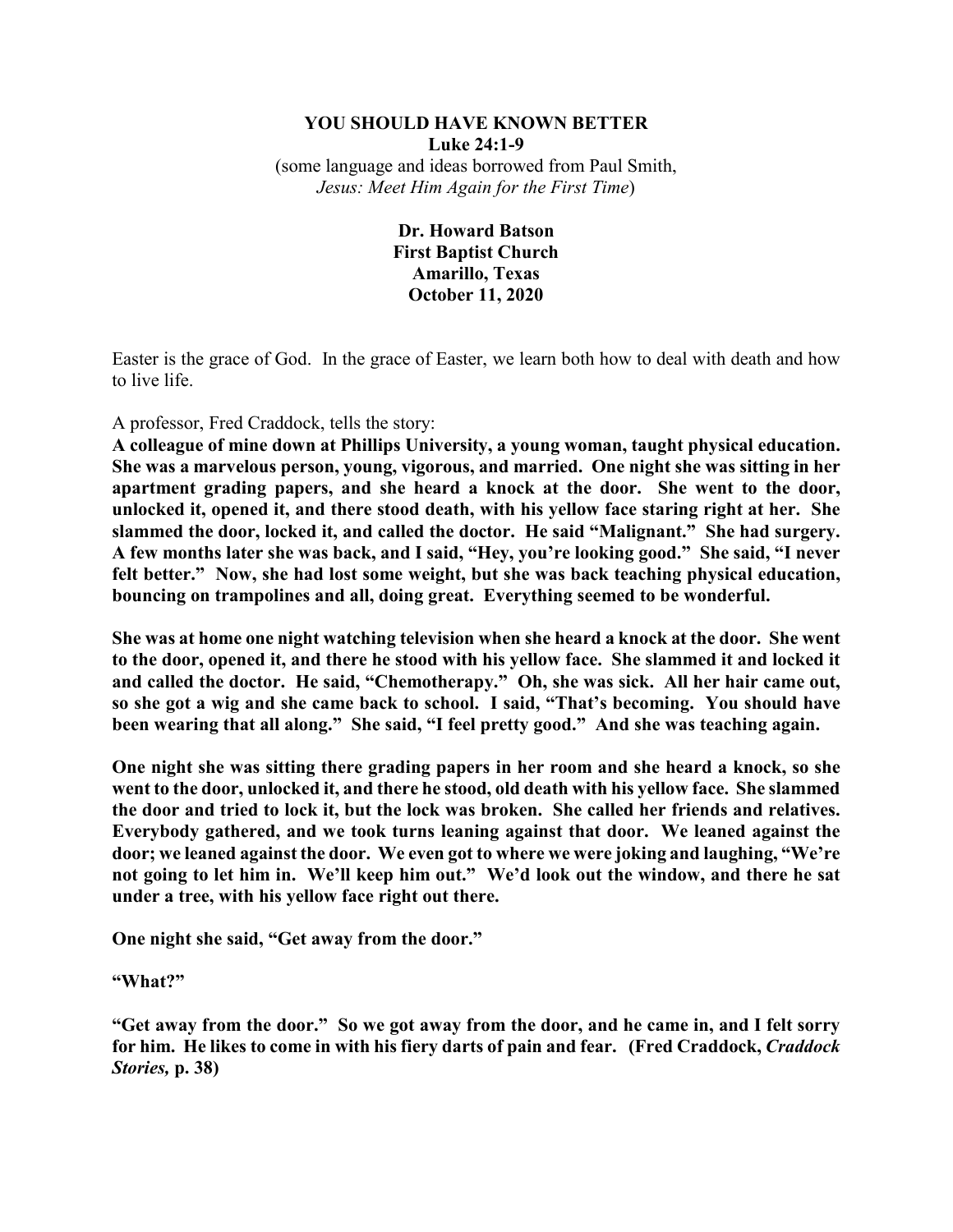## **YOU SHOULD HAVE KNOWN BETTER Luke 24:1-9** (some language and ideas borrowed from Paul Smith, *Jesus: Meet Him Again for the First Time*)

## **Dr. Howard Batson First Baptist Church Amarillo, Texas October 11, 2020**

Easter is the grace of God. In the grace of Easter, we learn both how to deal with death and how to live life.

## A professor, Fred Craddock, tells the story:

**A colleague of mine down at Phillips University, a young woman, taught physical education. She was a marvelous person, young, vigorous, and married. One night she was sitting in her apartment grading papers, and she heard a knock at the door. She went to the door, unlocked it, opened it, and there stood death, with his yellow face staring right at her. She slammed the door, locked it, and called the doctor. He said "Malignant." She had surgery. A few months later she was back, and I said, "Hey, you're looking good." She said, "I never felt better." Now, she had lost some weight, but she was back teaching physical education, bouncing on trampolines and all, doing great. Everything seemed to be wonderful.** 

**She was at home one night watching television when she heard a knock at the door. She went to the door, opened it, and there he stood with his yellow face. She slammed it and locked it and called the doctor. He said, "Chemotherapy." Oh, she was sick. All her hair came out, so she got a wig and she came back to school. I said, "That's becoming. You should have been wearing that all along." She said, "I feel pretty good." And she was teaching again.** 

**One night she was sitting there grading papers in her room and she heard a knock, so she went to the door, unlocked it, and there he stood, old death with his yellow face. She slammed the door and tried to lock it, but the lock was broken. She called her friends and relatives. Everybody gathered, and we took turns leaning against that door. We leaned against the door; we leaned against the door. We even got to where we were joking and laughing, "We're not going to let him in. We'll keep him out." We'd look out the window, and there he sat under a tree, with his yellow face right out there.** 

**One night she said, "Get away from the door."** 

**"What?"** 

**"Get away from the door." So we got away from the door, and he came in, and I felt sorry for him. He likes to come in with his fiery darts of pain and fear. (Fred Craddock,** *Craddock Stories,* **p. 38)**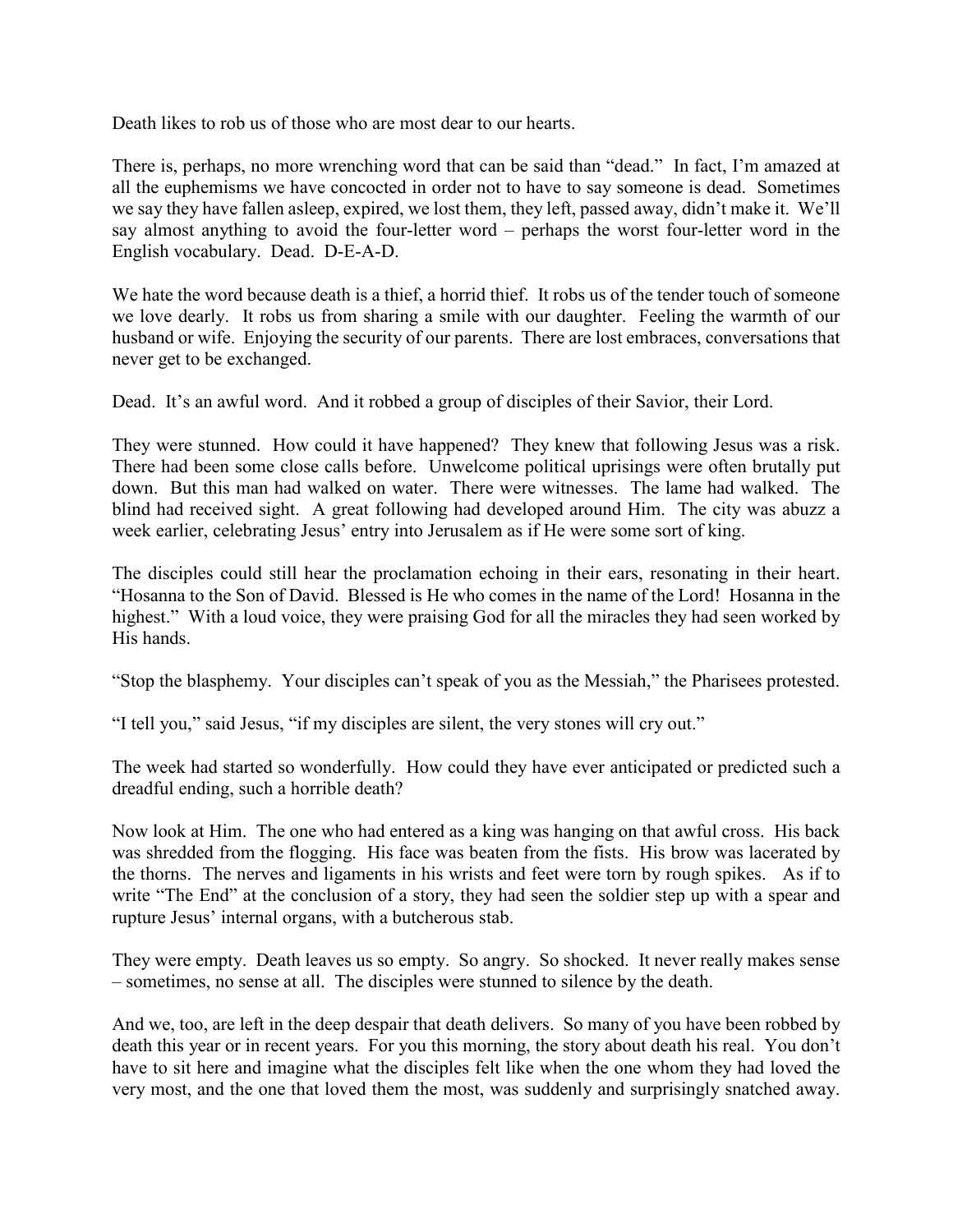Death likes to rob us of those who are most dear to our hearts.

There is, perhaps, no more wrenching word that can be said than "dead." In fact, I'm amazed at all the euphemisms we have concocted in order not to have to say someone is dead. Sometimes we say they have fallen asleep, expired, we lost them, they left, passed away, didn't make it. We'll say almost anything to avoid the four-letter word – perhaps the worst four-letter word in the English vocabulary. Dead. D-E-A-D.

We hate the word because death is a thief, a horrid thief. It robs us of the tender touch of someone we love dearly. It robs us from sharing a smile with our daughter. Feeling the warmth of our husband or wife. Enjoying the security of our parents. There are lost embraces, conversations that never get to be exchanged.

Dead. It's an awful word. And it robbed a group of disciples of their Savior, their Lord.

They were stunned. How could it have happened? They knew that following Jesus was a risk. There had been some close calls before. Unwelcome political uprisings were often brutally put down. But this man had walked on water. There were witnesses. The lame had walked. The blind had received sight. A great following had developed around Him. The city was abuzz a week earlier, celebrating Jesus' entry into Jerusalem as if He were some sort of king.

The disciples could still hear the proclamation echoing in their ears, resonating in their heart. "Hosanna to the Son of David. Blessed is He who comes in the name of the Lord! Hosanna in the highest." With a loud voice, they were praising God for all the miracles they had seen worked by His hands.

"Stop the blasphemy. Your disciples can't speak of you as the Messiah," the Pharisees protested.

"I tell you," said Jesus, "if my disciples are silent, the very stones will cry out."

The week had started so wonderfully. How could they have ever anticipated or predicted such a dreadful ending, such a horrible death?

Now look at Him. The one who had entered as a king was hanging on that awful cross. His back was shredded from the flogging. His face was beaten from the fists. His brow was lacerated by the thorns. The nerves and ligaments in his wrists and feet were torn by rough spikes. As if to write "The End" at the conclusion of a story, they had seen the soldier step up with a spear and rupture Jesus' internal organs, with a butcherous stab.

They were empty. Death leaves us so empty. So angry. So shocked. It never really makes sense – sometimes, no sense at all. The disciples were stunned to silence by the death.

And we, too, are left in the deep despair that death delivers. So many of you have been robbed by death this year or in recent years. For you this morning, the story about death his real. You don't have to sit here and imagine what the disciples felt like when the one whom they had loved the very most, and the one that loved them the most, was suddenly and surprisingly snatched away.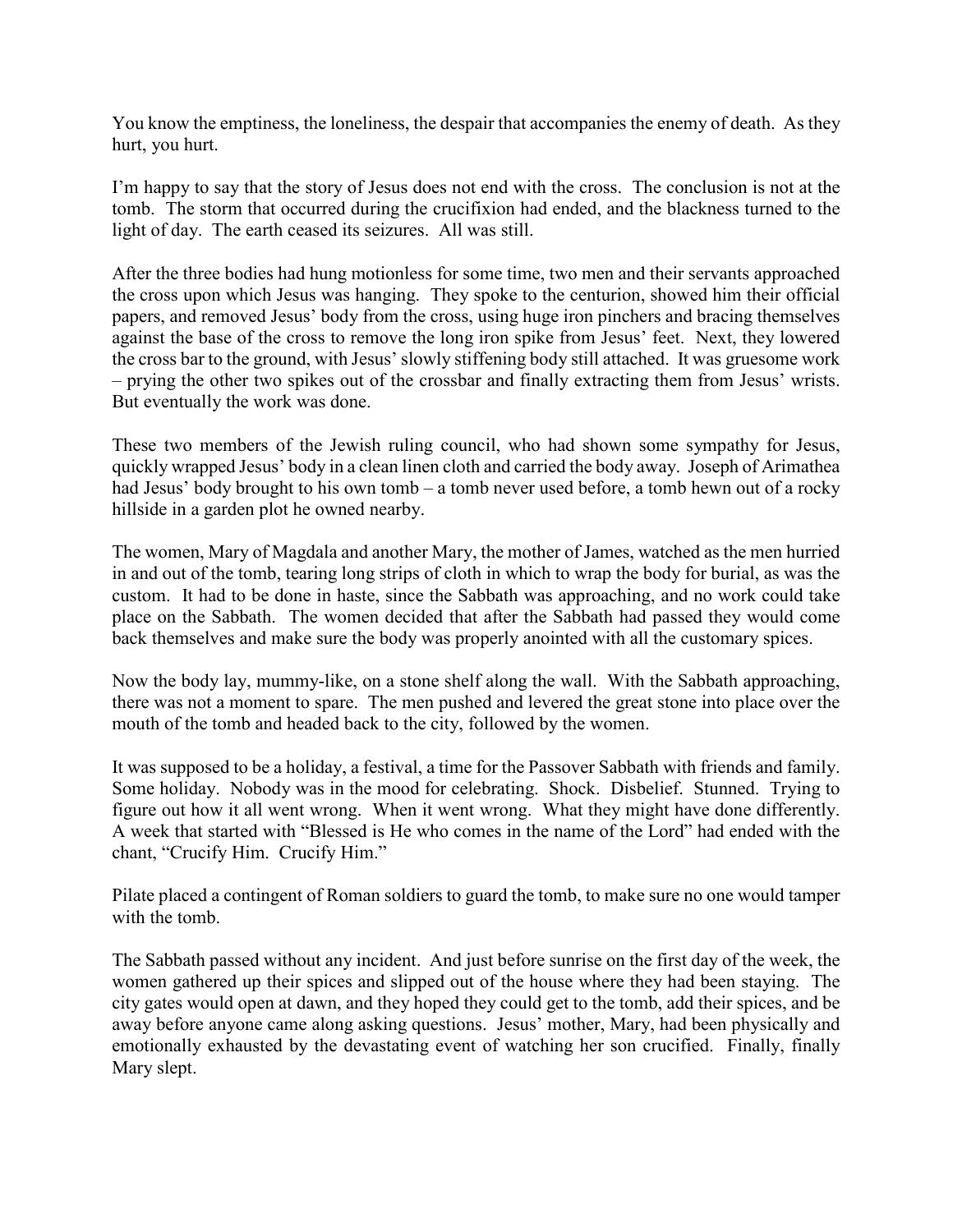You know the emptiness, the loneliness, the despair that accompanies the enemy of death. As they hurt, you hurt.

I'm happy to say that the story of Jesus does not end with the cross. The conclusion is not at the tomb. The storm that occurred during the crucifixion had ended, and the blackness turned to the light of day. The earth ceased its seizures. All was still.

After the three bodies had hung motionless for some time, two men and their servants approached the cross upon which Jesus was hanging. They spoke to the centurion, showed him their official papers, and removed Jesus' body from the cross, using huge iron pinchers and bracing themselves against the base of the cross to remove the long iron spike from Jesus' feet. Next, they lowered the cross bar to the ground, with Jesus' slowly stiffening body still attached. It was gruesome work – prying the other two spikes out of the crossbar and finally extracting them from Jesus' wrists. But eventually the work was done.

These two members of the Jewish ruling council, who had shown some sympathy for Jesus, quickly wrapped Jesus' body in a clean linen cloth and carried the body away. Joseph of Arimathea had Jesus' body brought to his own tomb – a tomb never used before, a tomb hewn out of a rocky hillside in a garden plot he owned nearby.

The women, Mary of Magdala and another Mary, the mother of James, watched as the men hurried in and out of the tomb, tearing long strips of cloth in which to wrap the body for burial, as was the custom. It had to be done in haste, since the Sabbath was approaching, and no work could take place on the Sabbath. The women decided that after the Sabbath had passed they would come back themselves and make sure the body was properly anointed with all the customary spices.

Now the body lay, mummy-like, on a stone shelf along the wall. With the Sabbath approaching, there was not a moment to spare. The men pushed and levered the great stone into place over the mouth of the tomb and headed back to the city, followed by the women.

It was supposed to be a holiday, a festival, a time for the Passover Sabbath with friends and family. Some holiday. Nobody was in the mood for celebrating. Shock. Disbelief. Stunned. Trying to figure out how it all went wrong. When it went wrong. What they might have done differently. A week that started with "Blessed is He who comes in the name of the Lord" had ended with the chant, "Crucify Him. Crucify Him."

Pilate placed a contingent of Roman soldiers to guard the tomb, to make sure no one would tamper with the tomb.

The Sabbath passed without any incident. And just before sunrise on the first day of the week, the women gathered up their spices and slipped out of the house where they had been staying. The city gates would open at dawn, and they hoped they could get to the tomb, add their spices, and be away before anyone came along asking questions. Jesus' mother, Mary, had been physically and emotionally exhausted by the devastating event of watching her son crucified. Finally, finally Mary slept.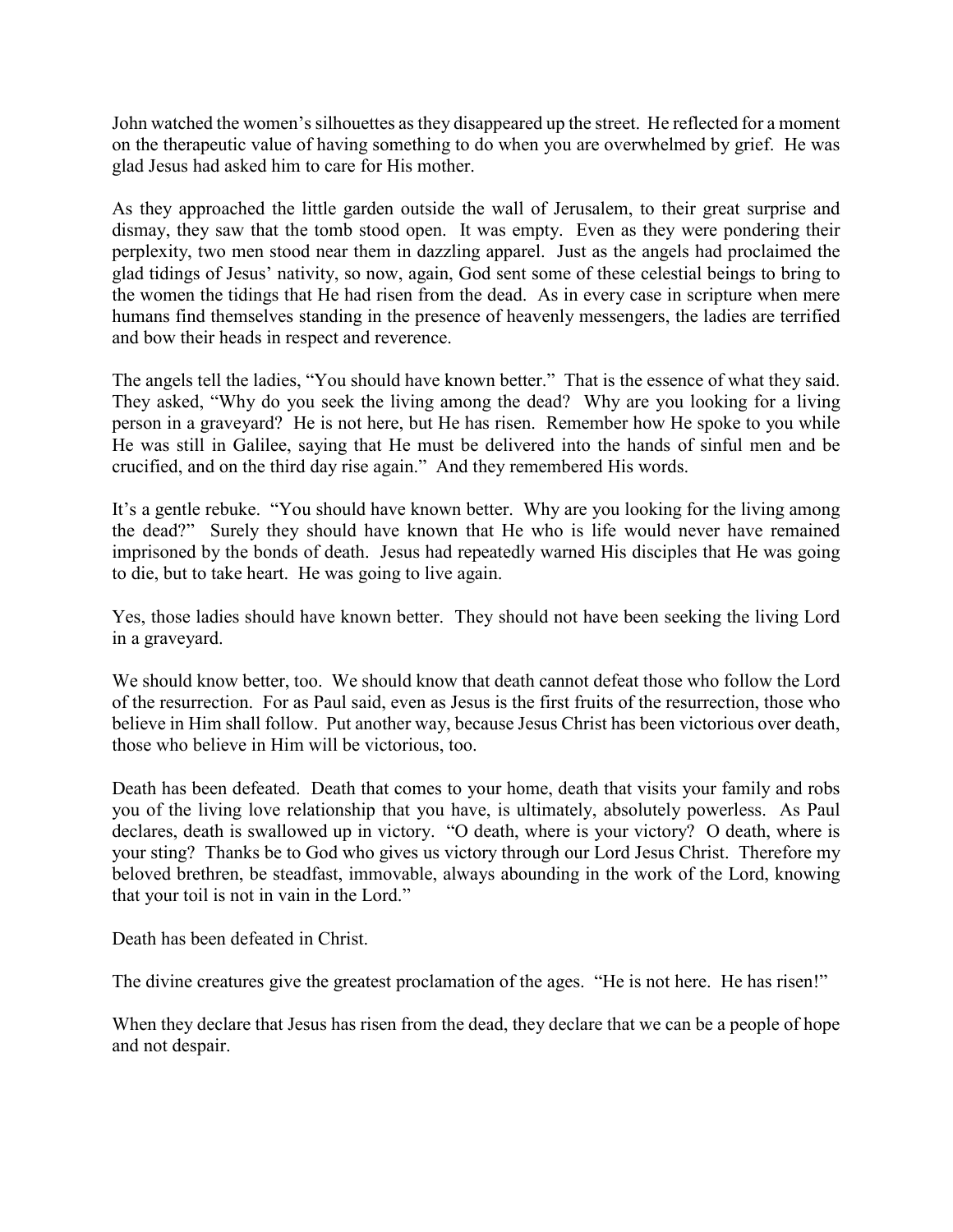John watched the women'ssilhouettes as they disappeared up the street. He reflected for a moment on the therapeutic value of having something to do when you are overwhelmed by grief. He was glad Jesus had asked him to care for His mother.

As they approached the little garden outside the wall of Jerusalem, to their great surprise and dismay, they saw that the tomb stood open. It was empty. Even as they were pondering their perplexity, two men stood near them in dazzling apparel. Just as the angels had proclaimed the glad tidings of Jesus' nativity, so now, again, God sent some of these celestial beings to bring to the women the tidings that He had risen from the dead. As in every case in scripture when mere humans find themselves standing in the presence of heavenly messengers, the ladies are terrified and bow their heads in respect and reverence.

The angels tell the ladies, "You should have known better." That is the essence of what they said. They asked, "Why do you seek the living among the dead? Why are you looking for a living person in a graveyard? He is not here, but He has risen. Remember how He spoke to you while He was still in Galilee, saying that He must be delivered into the hands of sinful men and be crucified, and on the third day rise again." And they remembered His words.

It's a gentle rebuke. "You should have known better. Why are you looking for the living among the dead?" Surely they should have known that He who is life would never have remained imprisoned by the bonds of death. Jesus had repeatedly warned His disciples that He was going to die, but to take heart. He was going to live again.

Yes, those ladies should have known better. They should not have been seeking the living Lord in a graveyard.

We should know better, too. We should know that death cannot defeat those who follow the Lord of the resurrection. For as Paul said, even as Jesus is the first fruits of the resurrection, those who believe in Him shall follow. Put another way, because Jesus Christ has been victorious over death, those who believe in Him will be victorious, too.

Death has been defeated. Death that comes to your home, death that visits your family and robs you of the living love relationship that you have, is ultimately, absolutely powerless. As Paul declares, death is swallowed up in victory. "O death, where is your victory? O death, where is your sting? Thanks be to God who gives us victory through our Lord Jesus Christ. Therefore my beloved brethren, be steadfast, immovable, always abounding in the work of the Lord, knowing that your toil is not in vain in the Lord."

Death has been defeated in Christ.

The divine creatures give the greatest proclamation of the ages. "He is not here. He has risen!"

When they declare that Jesus has risen from the dead, they declare that we can be a people of hope and not despair.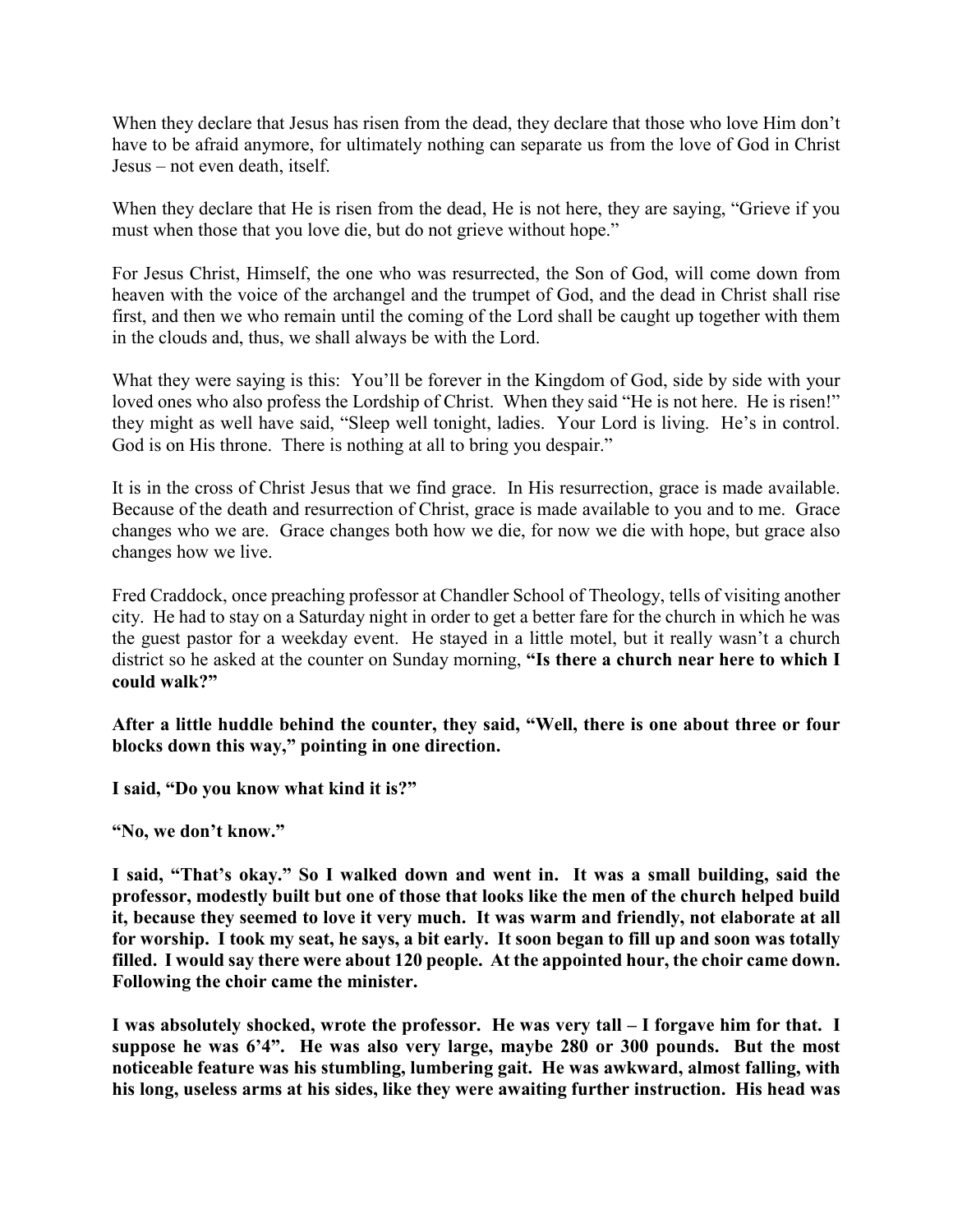When they declare that Jesus has risen from the dead, they declare that those who love Him don't have to be afraid anymore, for ultimately nothing can separate us from the love of God in Christ Jesus – not even death, itself.

When they declare that He is risen from the dead, He is not here, they are saying, "Grieve if you must when those that you love die, but do not grieve without hope."

For Jesus Christ, Himself, the one who was resurrected, the Son of God, will come down from heaven with the voice of the archangel and the trumpet of God, and the dead in Christ shall rise first, and then we who remain until the coming of the Lord shall be caught up together with them in the clouds and, thus, we shall always be with the Lord.

What they were saying is this: You'll be forever in the Kingdom of God, side by side with your loved ones who also profess the Lordship of Christ. When they said "He is not here. He is risen!" they might as well have said, "Sleep well tonight, ladies. Your Lord is living. He's in control. God is on His throne. There is nothing at all to bring you despair."

It is in the cross of Christ Jesus that we find grace. In His resurrection, grace is made available. Because of the death and resurrection of Christ, grace is made available to you and to me. Grace changes who we are. Grace changes both how we die, for now we die with hope, but grace also changes how we live.

Fred Craddock, once preaching professor at Chandler School of Theology, tells of visiting another city. He had to stay on a Saturday night in order to get a better fare for the church in which he was the guest pastor for a weekday event. He stayed in a little motel, but it really wasn't a church district so he asked at the counter on Sunday morning, **"Is there a church near here to which I could walk?"** 

**After a little huddle behind the counter, they said, "Well, there is one about three or four blocks down this way," pointing in one direction.** 

**I said, "Do you know what kind it is?"** 

**"No, we don't know."** 

**I said, "That's okay." So I walked down and went in. It was a small building, said the professor, modestly built but one of those that looks like the men of the church helped build it, because they seemed to love it very much. It was warm and friendly, not elaborate at all for worship. I took my seat, he says, a bit early. It soon began to fill up and soon was totally filled. I would say there were about 120 people. At the appointed hour, the choir came down. Following the choir came the minister.** 

**I was absolutely shocked, wrote the professor. He was very tall – I forgave him for that. I suppose he was 6'4". He was also very large, maybe 280 or 300 pounds. But the most noticeable feature was his stumbling, lumbering gait. He was awkward, almost falling, with his long, useless arms at his sides, like they were awaiting further instruction. His head was**